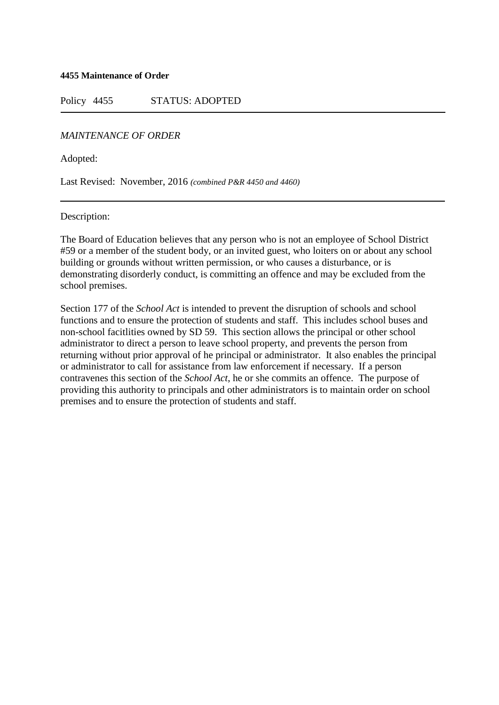#### **4455 Maintenance of Order**

Policy 4455 STATUS: ADOPTED

## *MAINTENANCE OF ORDER*

Adopted:

Last Revised: November, 2016 *(combined P&R 4450 and 4460)*

#### Description:

The Board of Education believes that any person who is not an employee of School District #59 or a member of the student body, or an invited guest, who loiters on or about any school building or grounds without written permission, or who causes a disturbance, or is demonstrating disorderly conduct, is committing an offence and may be excluded from the school premises.

Section 177 of the *School Act* is intended to prevent the disruption of schools and school functions and to ensure the protection of students and staff. This includes school buses and non-school facitlities owned by SD 59. This section allows the principal or other school administrator to direct a person to leave school property, and prevents the person from returning without prior approval of he principal or administrator. It also enables the principal or administrator to call for assistance from law enforcement if necessary. If a person contravenes this section of the *School Act*, he or she commits an offence. The purpose of providing this authority to principals and other administrators is to maintain order on school premises and to ensure the protection of students and staff.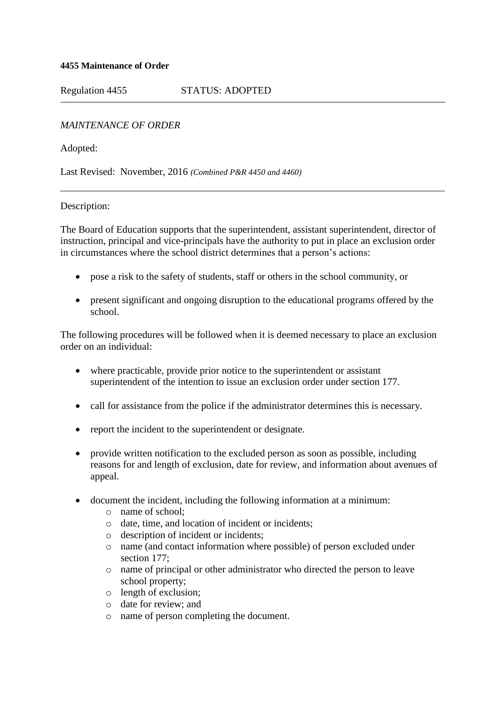## **4455 Maintenance of Order**

Regulation 4455 STATUS: ADOPTED

# *MAINTENANCE OF ORDER*

Adopted:

Last Revised: November, 2016 *(Combined P&R 4450 and 4460)*

## Description:

The Board of Education supports that the superintendent, assistant superintendent, director of instruction, principal and vice-principals have the authority to put in place an exclusion order in circumstances where the school district determines that a person's actions:

- pose a risk to the safety of students, staff or others in the school community, or
- present significant and ongoing disruption to the educational programs offered by the school.

The following procedures will be followed when it is deemed necessary to place an exclusion order on an individual:

- where practicable, provide prior notice to the superintendent or assistant superintendent of the intention to issue an exclusion order under section 177.
- call for assistance from the police if the administrator determines this is necessary.
- report the incident to the superintendent or designate.
- provide written notification to the excluded person as soon as possible, including reasons for and length of exclusion, date for review, and information about avenues of appeal.
- document the incident, including the following information at a minimum:
	- o name of school;
	- o date, time, and location of incident or incidents;
	- o description of incident or incidents;
	- o name (and contact information where possible) of person excluded under section 177;
	- o name of principal or other administrator who directed the person to leave school property;
	- o length of exclusion;
	- o date for review; and
	- o name of person completing the document.